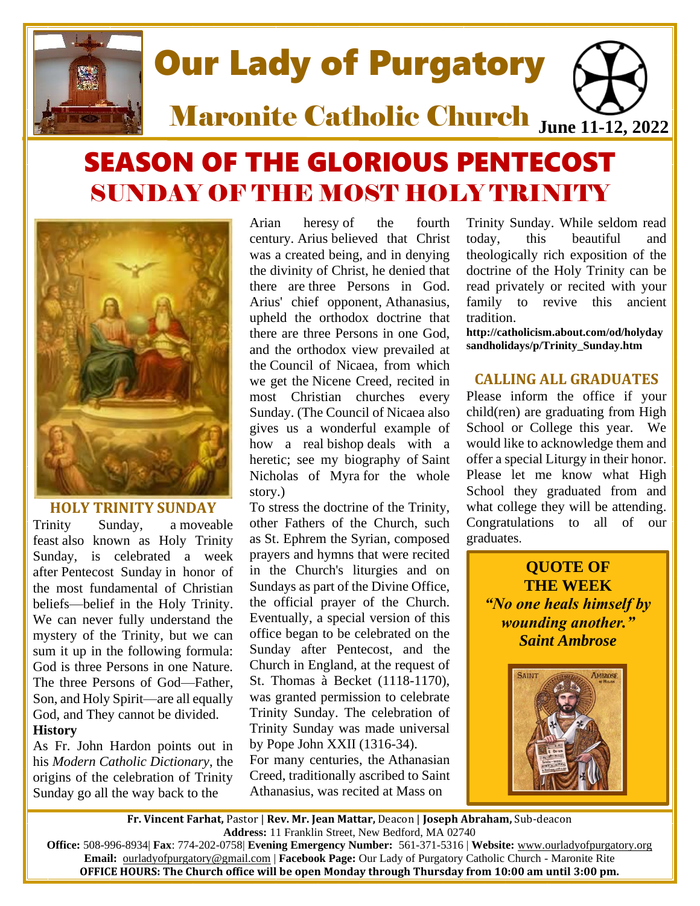

# SEASON OF THE GLORIOUS PENTECOST SUNDAY OF THE MOST HOLY TRINITY



## **HOLY TRINITY SUNDAY**

Trinity Sunday, a [moveable](http://catholicism.about.com/od/Catholic-Dictionary/g/Moveable-Feast-Definition-Of-Moveable-Feast.htm)  [feast](http://catholicism.about.com/od/Catholic-Dictionary/g/Moveable-Feast-Definition-Of-Moveable-Feast.htm) also known as Holy Trinity Sunday, is celebrated a week after [Pentecost Sunday](http://catholicism.about.com/od/holydaysandholidays/p/Pentecost.htm) in honor of the most fundamental of Christian beliefs—belief in the Holy Trinity. We can never fully understand the mystery of the Trinity, but we can sum it up in the following formula: God is three Persons in one Nature. The three Persons of God—Father, Son, and Holy Spirit—are all equally God, and They cannot be divided. **History**

As Fr. John Hardon points out in his *Modern Catholic Dictionary*, the origins of the celebration of Trinity Sunday go all the way back to the

[Arian heresy](http://ancienthistory.about.com/cs/godsreligion/p/aa082499.htm) of the fourth century. [Arius](http://ancienthistory.about.com/library/bl/bl_arius.htm) believed that Christ was a created being, and in denying the divinity of Christ, he denied that there are [three Persons in God.](http://catholicism.about.com/od/baltimorecatechism/f/Question_23_BC.htm) Arius' chief opponent, [Athanasius,](http://ancienthistory.about.com/cs/earlychurch/p/stathanasius.htm) upheld the orthodox doctrine that there are three Persons in one God, and the orthodox view prevailed at the [Council of Nicaea,](http://ancienthistory.about.com/cs/godsreligion/p/aa082499.htm) from which we get the [Nicene Creed,](http://ancienthistory.about.com/library/bl/bl_nicenecreed.htm) recited in most Christian churches every Sunday. (The Council of Nicaea also gives us a wonderful example of how a real [bishop](http://catholicism.about.com/od/organization/p/The_Bishop.htm) deals with a heretic; see my biography of [Saint](http://catholicism.about.com/od/thesaints/p/Saint_Nicholas.htm)  [Nicholas of Myra](http://catholicism.about.com/od/thesaints/p/Saint_Nicholas.htm) for the whole story.)

To stress the doctrine of the Trinity, other Fathers of the Church, such as [St. Ephrem the Syrian,](http://catholicism.about.com/od/thesaints/p/Saint_Ephrem.htm) composed prayers and hymns that were recited in the Church's liturgies and on Sundays as part of the Divine Office, the official prayer of the Church. Eventually, a special version of this office began to be celebrated on the Sunday after Pentecost, and the Church in England, at the request of St. Thomas à Becket (1118-1170), was granted permission to celebrate Trinity Sunday. The celebration of Trinity Sunday was made universal by Pope John XXII (1316-34).

For many centuries, the [Athanasian](http://catholicism.about.com/od/beliefsteachings/qt/Athanasia_Creed.htm)  [Creed,](http://catholicism.about.com/od/beliefsteachings/qt/Athanasia_Creed.htm) traditionally ascribed to Saint Athanasius, was recited at Mass on

Trinity Sunday. While seldom read today, this beautiful and theologically rich exposition of the doctrine of the Holy Trinity can be read privately or recited with your family to revive this ancient tradition.

**http://catholicism.about.com/od/holyday sandholidays/p/Trinity\_Sunday.htm**

## **CALLING ALL GRADUATES**

Please inform the office if your child(ren) are graduating from High School or College this year. We would like to acknowledge them and offer a special Liturgy in their honor. Please let me know what High School they graduated from and what college they will be attending. Congratulations to all of our graduates.

**QUOTE OF THE WEEK** *"No one heals himself by wounding another." Saint Ambrose*



**Fr. Vincent Farhat,** Pastor | **Rev. Mr. Jean Mattar,** Deacon | **Joseph Abraham,** Sub-deacon **Address:** 11 Franklin Street, New Bedford, MA 02740

**Office:** 508-996-8934| **Fax**: 774-202-0758| **Evening Emergency Number:** 561-371-5316 | **Website:** [www.ourladyofpurgatory.org](http://www.ourladyofpurgatory.org/) **Email:** [ourladyofpurgatory@gmail.com](mailto:ourladyofpurgatory@verizon.net) | **Facebook Page:** Our Lady of Purgatory Catholic Church - Maronite Rite **OFFICE HOURS: The Church office will be open Monday through Thursday from 10:00 am until 3:00 pm.**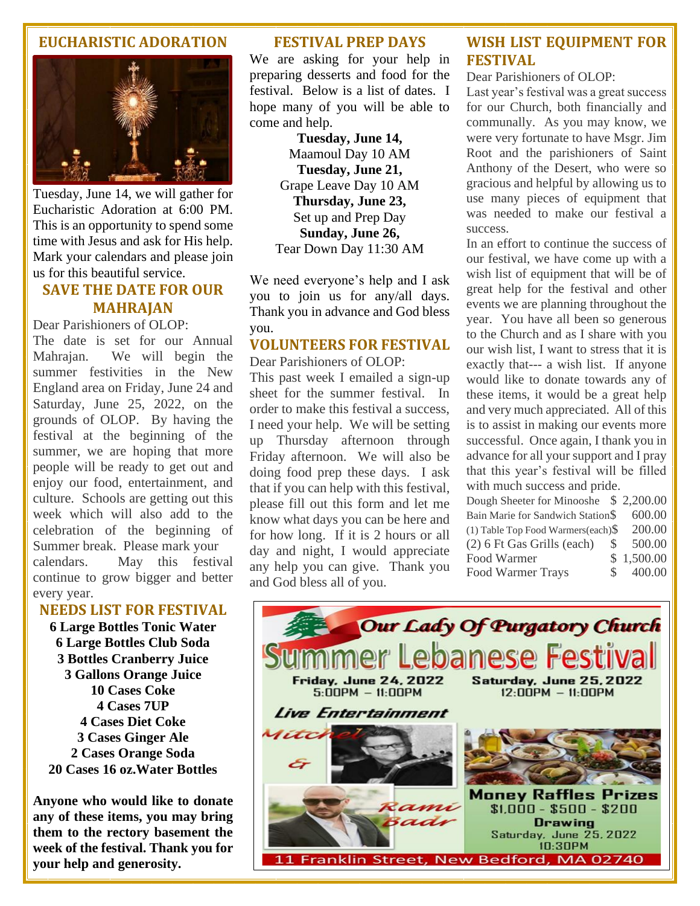## **EUCHARISTIC ADORATION**



Tuesday, June 14, we will gather for Eucharistic Adoration at 6:00 PM. This is an opportunity to spend some time with Jesus and ask for His help. Mark your calendars and please join us for this beautiful service.

# **SAVE THE DATE FOR OUR MAHRAJAN**

Dear Parishioners of OLOP:

The date is set for our Annual Mahrajan. We will begin the summer festivities in the New England area on Friday, June 24 and Saturday, June 25, 2022, on the grounds of OLOP. By having the festival at the beginning of the summer, we are hoping that more people will be ready to get out and enjoy our food, entertainment, and culture. Schools are getting out this week which will also add to the celebration of the beginning of Summer break. Please mark your calendars. May this festival continue to grow bigger and better every year.

## **NEEDS LIST FOR FESTIVAL**

**6 Large Bottles Tonic Water 6 Large Bottles Club Soda 3 Bottles Cranberry Juice 3 Gallons Orange Juice 10 Cases Coke 4 Cases 7UP 4 Cases Diet Coke 3 Cases Ginger Ale 2 Cases Orange Soda 20 Cases 16 oz.Water Bottles**

**Anyone who would like to donate any of these items, you may bring them to the rectory basement the week of the festival. Thank you for your help and generosity.**

#### **FESTIVAL PREP DAYS**

We are asking for your help in preparing desserts and food for the festival. Below is a list of dates. I hope many of you will be able to come and help.

> **Tuesday, June 14,** Maamoul Day 10 AM **Tuesday, June 21,** Grape Leave Day 10 AM **Thursday, June 23,** Set up and Prep Day **Sunday, June 26,** Tear Down Day 11:30 AM

We need everyone's help and I ask you to join us for any/all days. Thank you in advance and God bless you.

# **VOLUNTEERS FOR FESTIVAL**

Dear Parishioners of OLOP:

This past week I emailed a sign-up sheet for the summer festival. In order to make this festival a success, I need your help. We will be setting up Thursday afternoon through Friday afternoon. We will also be doing food prep these days. I ask that if you can help with this festival, please fill out this form and let me know what days you can be here and for how long. If it is 2 hours or all day and night, I would appreciate any help you can give. Thank you and God bless all of you.

# **WISH LIST EQUIPMENT FOR FESTIVAL**

#### Dear Parishioners of OLOP:

Last year's festival was a great success for our Church, both financially and communally. As you may know, we were very fortunate to have Msgr. Jim Root and the parishioners of Saint Anthony of the Desert, who were so gracious and helpful by allowing us to use many pieces of equipment that was needed to make our festival a success.

In an effort to continue the success of our festival, we have come up with a wish list of equipment that will be of great help for the festival and other events we are planning throughout the year. You have all been so generous to the Church and as I share with you our wish list, I want to stress that it is exactly that--- a wish list. If anyone would like to donate towards any of these items, it would be a great help and very much appreciated. All of this is to assist in making our events more successful. Once again, I thank you in advance for all your support and I pray that this year's festival will be filled with much success and pride.

Dough Sheeter for Minooshe \$ 2,200.00 Bain Marie for Sandwich Station\$ 600.00 (1) Table Top Food Warmers(each)\$ 200.00 (2) 6 Ft Gas Grills (each) \$ 500.00 Food Warmer \$ 1,500.00 Food Warmer Trays \$ 400.00

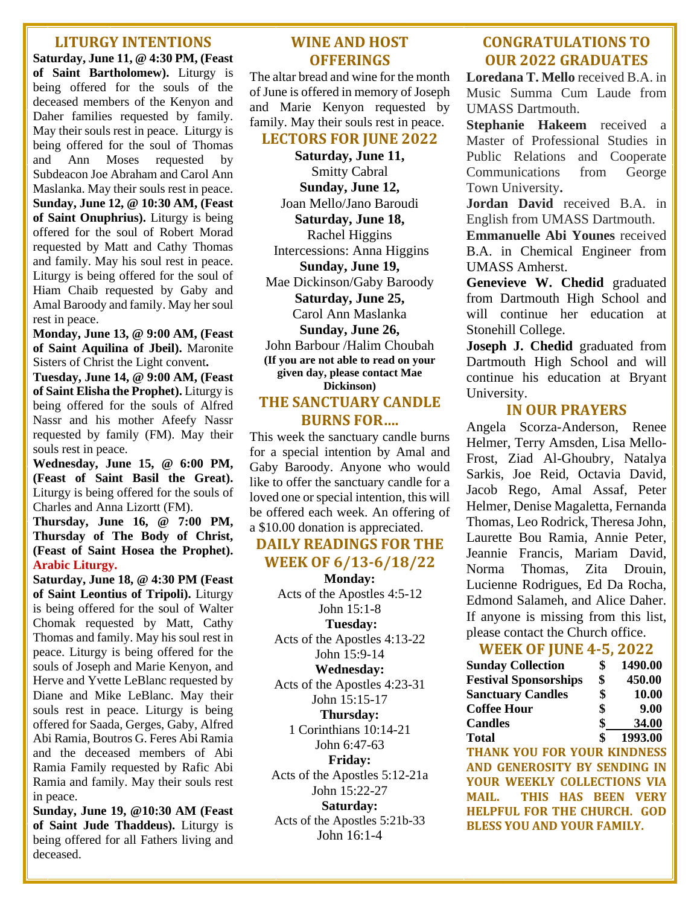#### **LITURGY INTENTIONS**

**Saturday, June 11, @ 4:30 PM, (Feast of Saint Bartholomew).** Liturgy is being offered for the souls of the deceased members of the Kenyon and Daher families requested by family. May their souls rest in peace. Liturgy is being offered for the soul of Thomas and Ann Moses requested by Subdeacon Joe Abraham and Carol Ann Maslanka. May their souls rest in peace. **Sunday, June 12, @ 10:30 AM, (Feast of Saint Onuphrius).** Liturgy is being offered for the soul of Robert Morad requested by Matt and Cathy Thomas and family. May his soul rest in peace. Liturgy is being offered for the soul of Hiam Chaib requested by Gaby and Amal Baroody and family. May her soul rest in peace.

**Monday, June 13, @ 9:00 AM, (Feast of Saint Aquilina of Jbeil).** Maronite Sisters of Christ the Light convent**.**

**Tuesday, June 14, @ 9:00 AM, (Feast of Saint Elisha the Prophet).** Liturgy is being offered for the souls of Alfred Nassr and his mother Afeefy Nassr requested by family (FM). May their souls rest in peace.

**Wednesday, June 15, @ 6:00 PM, (Feast of Saint Basil the Great).** Liturgy is being offered for the souls of Charles and Anna Lizortt (FM).

**Thursday, June 16, @ 7:00 PM, Thursday of The Body of Christ, (Feast of Saint Hosea the Prophet). Arabic Liturgy.**

**Saturday, June 18, @ 4:30 PM (Feast of Saint Leontius of Tripoli).** Liturgy is being offered for the soul of Walter Chomak requested by Matt, Cathy Thomas and family. May his soul rest in peace. Liturgy is being offered for the souls of Joseph and Marie Kenyon, and Herve and Yvette LeBlanc requested by Diane and Mike LeBlanc. May their souls rest in peace. Liturgy is being offered for Saada, Gerges, Gaby, Alfred Abi Ramia, Boutros G. Feres Abi Ramia and the deceased members of Abi Ramia Family requested by Rafic Abi Ramia and family. May their souls rest in peace.

**Sunday, June 19, @10:30 AM (Feast of Saint Jude Thaddeus).** Liturgy is being offered for all Fathers living and deceased.

## **WINE AND HOST OFFERINGS**

The altar bread and wine for the month of June is offered in memory of Joseph and Marie Kenyon requested by family. May their souls rest in peace.

#### **LECTORS FOR JUNE 2022**

**Saturday, June 11,**  Smitty Cabral **Sunday, June 12,**  Joan Mello/Jano Baroudi **Saturday, June 18,**  Rachel Higgins Intercessions: Anna Higgins **Sunday, June 19,**  Mae Dickinson/Gaby Baroody **Saturday, June 25,**  Carol Ann Maslanka **Sunday, June 26,**  John Barbour /Halim Choubah **(If you are not able to read on your** 

**given day, please contact Mae Dickinson)**

## **THE SANCTUARY CANDLE BURNS FOR….**

This week the sanctuary candle burns for a special intention by Amal and Gaby Baroody. Anyone who would like to offer the sanctuary candle for a loved one or special intention, this will be offered each week. An offering of a \$10.00 donation is appreciated.

# **DAILY READINGS FOR THE WEEK OF 6/13-6/18/22**

**Monday:**  Acts of the Apostles 4:5-12 John 15:1-8 **Tuesday:**  Acts of the Apostles 4:13-22 John 15:9-14 **Wednesday:**  Acts of the Apostles 4:23-31 John 15:15-17 **Thursday:**  1 Corinthians 10:14-21 John 6:47-63 **Friday:**  Acts of the Apostles 5:12-21a John 15:22-27 **Saturday:** 

Acts of the Apostles 5:21b-33 John 16:1-4

# **CONGRATULATIONS TO OUR 2022 GRADUATES**

**Loredana T. Mello** received B.A. in Music Summa Cum Laude from UMASS Dartmouth.

**Stephanie Hakeem** received a Master of Professional Studies in Public Relations and Cooperate Communications from George Town University**.**

**Jordan David** received B.A. in English from UMASS Dartmouth.

**Emmanuelle Abi Younes** received B.A. in Chemical Engineer from UMASS Amherst.

**Genevieve W. Chedid** graduated from Dartmouth High School and will continue her education at Stonehill College.

**Joseph J. Chedid** graduated from Dartmouth High School and will continue his education at Bryant University.

# **IN OUR PRAYERS**

Angela Scorza-Anderson, Renee Helmer, Terry Amsden, Lisa Mello-Frost, Ziad Al-Ghoubry, Natalya Sarkis, Joe Reid, Octavia David, Jacob Rego, Amal Assaf, Peter Helmer, Denise Magaletta, Fernanda Thomas, Leo Rodrick, Theresa John, Laurette Bou Ramia, Annie Peter, Jeannie Francis, Mariam David, Norma Thomas, Zita Drouin, Lucienne Rodrigues, Ed Da Rocha, Edmond Salameh, and Alice Daher. If anyone is missing from this list, please contact the Church office.

## **WEEK OF JUNE 4-5, 2022**

| <b>Sunday Collection</b>     | \$<br>1490.00 |
|------------------------------|---------------|
| <b>Festival Sponsorships</b> | \$<br>450.00  |
| <b>Sanctuary Candles</b>     | \$<br>10.00   |
| <b>Coffee Hour</b>           | \$<br>9.00    |
| <b>Candles</b>               | \$<br>34.00   |
| <b>Total</b>                 | \$<br>1993.00 |

**THANK YOU FOR YOUR KINDNESS AND GENEROSITY BY SENDING IN YOUR WEEKLY COLLECTIONS VIA MAIL. THIS HAS BEEN VERY HELPFUL FOR THE CHURCH. GOD BLESS YOU AND YOUR FAMILY.**